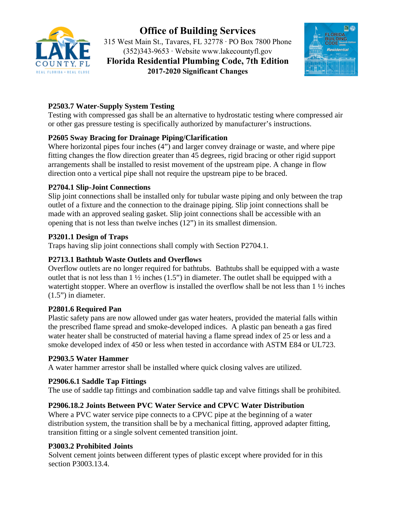

# **Office of Building Services**

315 West Main St., Tavares, FL 32778 ∙ PO Box 7800 Phone (352)343-9653 ∙ Website <www.lakecountyfl.gov> **Florida Residential Plumbing Code, 7th Edition 2017-2020 Significant Changes**



# **P2503.7 Water-Supply System Testing**

Testing with compressed gas shall be an alternative to hydrostatic testing where compressed air or other gas pressure testing is specifically authorized by manufacturer's instructions.

# **P2605 Sway Bracing for Drainage Piping/Clarification**

Where horizontal pipes four inches (4") and larger convey drainage or waste, and where pipe fitting changes the flow direction greater than 45 degrees, rigid bracing or other rigid support arrangements shall be installed to resist movement of the upstream pipe. A change in flow direction onto a vertical pipe shall not require the upstream pipe to be braced.

# **P2704.1 Slip-Joint Connections**

Slip joint connections shall be installed only for tubular waste piping and only between the trap outlet of a fixture and the connection to the drainage piping. Slip joint connections shall be made with an approved sealing gasket. Slip joint connections shall be accessible with an opening that is not less than twelve inches (12") in its smallest dimension.

# **P3201.1 Design of Traps**

Traps having slip joint connections shall comply with Section P2704.1.

# **P2713.1 Bathtub Waste Outlets and Overflows**

Overflow outlets are no longer required for bathtubs. Bathtubs shall be equipped with a waste outlet that is not less than  $1 \frac{1}{2}$  inches  $(1.5")$  in diameter. The outlet shall be equipped with a watertight stopper. Where an overflow is installed the overflow shall be not less than 1  $\frac{1}{2}$  inches (1.5") in diameter.

# **P2801.6 Required Pan**

Plastic safety pans are now allowed under gas water heaters, provided the material falls within the prescribed flame spread and smoke-developed indices. A plastic pan beneath a gas fired water heater shall be constructed of material having a flame spread index of 25 or less and a smoke developed index of 450 or less when tested in accordance with ASTM E84 or UL723.

# **P2903.5 Water Hammer**

A water hammer arrestor shall be installed where quick closing valves are utilized.

# **P2906.6.1 Saddle Tap Fittings**

The use of saddle tap fittings and combination saddle tap and valve fittings shall be prohibited.

# **P2906.18.2 Joints Between PVC Water Service and CPVC Water Distribution**

Where a PVC water service pipe connects to a CPVC pipe at the beginning of a water distribution system, the transition shall be by a mechanical fitting, approved adapter fitting, transition fitting or a single solvent cemented transition joint.

# **P3003.2 Prohibited Joints**

Solvent cement joints between different types of plastic except where provided for in this section P3003.13.4.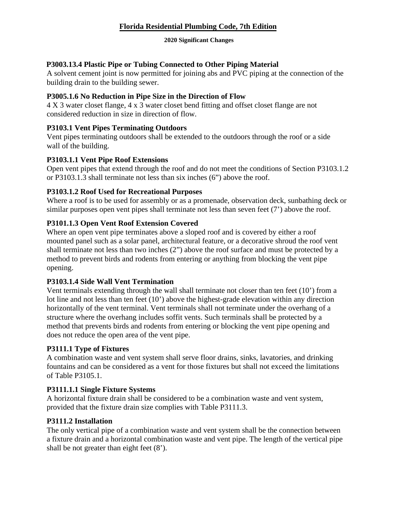# **Florida Residential Plumbing Code, 7th Edition**

#### **2020 Significant Changes**

# **P3003.13.4 Plastic Pipe or Tubing Connected to Other Piping Material**

A solvent cement joint is now permitted for joining abs and PVC piping at the connection of the building drain to the building sewer.

#### **P3005.1.6 No Reduction in Pipe Size in the Direction of Flow**

4 X 3 water closet flange, 4 x 3 water closet bend fitting and offset closet flange are not considered reduction in size in direction of flow.

#### **P3103.1 Vent Pipes Terminating Outdoors**

 Vent pipes terminating outdoors shall be extended to the outdoors through the roof or a side wall of the building.

#### **P3103.1.1 Vent Pipe Roof Extensions**

 or P3103.1.3 shall terminate not less than six inches (6") above the roof. Open vent pipes that extend through the roof and do not meet the conditions of Section P3103.1.2

#### **P3103.1.2 Roof Used for Recreational Purposes**

similar purposes open vent pipes shall terminate not less than seven feet (7') above the roof. Where a roof is to be used for assembly or as a promenade, observation deck, sunbathing deck or

# **P3101.1.3 Open Vent Roof Extension Covered**

 mounted panel such as a solar panel, architectural feature, or a decorative shroud the roof vent Where an open vent pipe terminates above a sloped roof and is covered by either a roof shall terminate not less than two inches (2") above the roof surface and must be protected by a method to prevent birds and rodents from entering or anything from blocking the vent pipe opening.

# **P3103.1.4 Side Wall Vent Termination**

Vent terminals extending through the wall shall terminate not closer than ten feet (10') from a lot line and not less than ten feet (10') above the highest-grade elevation within any direction horizontally of the vent terminal. Vent terminals shall not terminate under the overhang of a structure where the overhang includes soffit vents. Such terminals shall be protected by a method that prevents birds and rodents from entering or blocking the vent pipe opening and does not reduce the open area of the vent pipe.

# **P3111.1 Type of Fixtures**

A combination waste and vent system shall serve floor drains, sinks, lavatories, and drinking fountains and can be considered as a vent for those fixtures but shall not exceed the limitations of Table P3105.1.

# **P3111.1.1 Single Fixture Systems**

A horizontal fixture drain shall be considered to be a combination waste and vent system, provided that the fixture drain size complies with Table P3111.3.

# **P3111.2 Installation**

The only vertical pipe of a combination waste and vent system shall be the connection between a fixture drain and a horizontal combination waste and vent pipe. The length of the vertical pipe shall be not greater than eight feet (8').